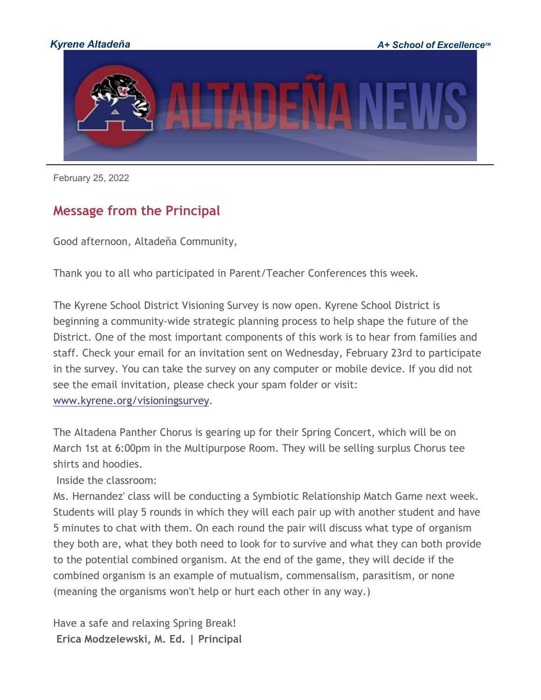

February 25, 2022

# **Message from the Principal**

Good afternoon, Altadeña Community,

Thank you to all who participated in Parent/Teacher Conferences this week.

The Kyrene School District Visioning Survey is now open. Kyrene School District is beginning a community-wide strategic planning process to help shape the future of the District. One of the most important components of this work is to hear from families and staff. Check your email for an invitation sent on Wednesday, February 23rd to participate in the survey. You can take the survey on any computer or mobile device. If you did not see the email invitation, please check your spam folder or visit[:](http://track.spe.schoolmessenger.com/f/a/CCCd7THhP7imVcrrJ-9lHQ%7E%7E/AAAAAQA%7E/RgRj-owlP0QlaHR0cDovL3d3dy5reXJlbmUub3JnL3Zpc2lvbmluZ3N1cnZleVcHc2Nob29sbUIKYhalWBliQeGxVVIQc3JhdGhAa3lyZW5lLm9yZ1gEAAAAAQ%7E%7E) [www.kyrene.org/visioningsurvey.](http://track.spe.schoolmessenger.com/f/a/CCCd7THhP7imVcrrJ-9lHQ%7E%7E/AAAAAQA%7E/RgRj-owlP0QlaHR0cDovL3d3dy5reXJlbmUub3JnL3Zpc2lvbmluZ3N1cnZleVcHc2Nob29sbUIKYhalWBliQeGxVVIQc3JhdGhAa3lyZW5lLm9yZ1gEAAAAAQ%7E%7E)

The Altadena Panther Chorus is gearing up for their Spring Concert, which will be on March 1st at 6:00pm in the Multipurpose Room. They will be selling surplus Chorus tee shirts and hoodies.

Inside the classroom:

Ms. Hernandez' class will be conducting a Symbiotic Relationship Match Game next week. Students will play 5 rounds in which they will each pair up with another student and have 5 minutes to chat with them. On each round the pair will discuss what type of organism they both are, what they both need to look for to survive and what they can both provide to the potential combined organism. At the end of the game, they will decide if the combined organism is an example of mutualism, commensalism, parasitism, or none (meaning the organisms won't help or hurt each other in any way.)

Have a safe and relaxing Spring Break! **Erica Modzelewski, M. Ed. | Principal**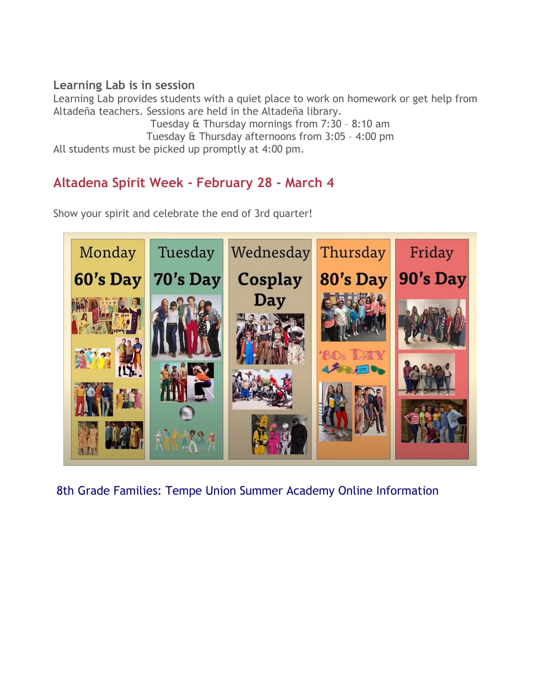### **Learning Lab is in session**

Learning Lab provides students with a quiet place to work on homework or get help from Altadeña teachers. Sessions are held in the Altadeña library.

Tuesday & Thursday mornings from 7:30 – 8:10 am Tuesday & Thursday afternoons from 3:05 – 4:00 pm All students must be picked up promptly at 4:00 pm.

# **Altadena Spirit Week - February 28 - March 4**

Show your spirit and celebrate the end of 3rd quarter!



8th Grade Families: Tempe Union Summer Academy Online Information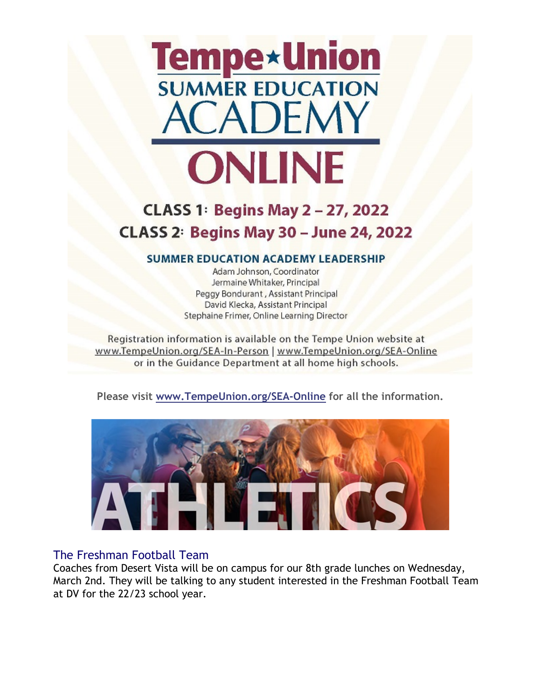

# **CLASS 1: Begins May 2-27, 2022 CLASS 2: Begins May 30 - June 24, 2022**

#### **SUMMER EDUCATION ACADEMY LEADERSHIP**

Adam Johnson, Coordinator Jermaine Whitaker, Principal Peggy Bondurant, Assistant Principal David Klecka, Assistant Principal Stephaine Frimer, Online Learning Director

Registration information is available on the Tempe Union website at www.TempeUnion.org/SEA-In-Person | www.TempeUnion.org/SEA-Online or in the Guidance Department at all home high schools.

**Please visit [www.TempeUnion.org/SEA-Online](http://track.spe.schoolmessenger.com/f/a/1WmOz4mAJ8sV2sBsvA-gVg%7E%7E/AAAAAQA%7E/RgRj-owlP0QkaHR0cDovL3d3dy5UZW1wZVVuaW9uLm9yZy9TRUEtT25saW5lVwdzY2hvb2xtQgpiFqVYGWJB4bFVUhBzcmF0aEBreXJlbmUub3JnWAQAAAAB) for all the information.**



#### The Freshman Football Team

Coaches from Desert Vista will be on campus for our 8th grade lunches on Wednesday, March 2nd. They will be talking to any student interested in the Freshman Football Team at DV for the 22/23 school year.